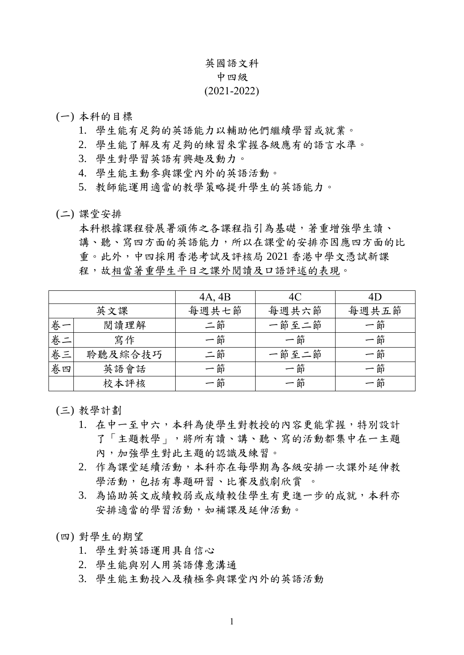## 英國語文科

## 中四級

## (2021-2022)

- (一) 本科的目標
	- 1. 學生能有足夠的英語能力以輔助他們繼續學習或就業。
	- 2. 學生能了解及有足夠的練習來掌握各級應有的語言水準。
	- 3. 學生對學習英語有興趣及動力。
	- 4. 學生能主動參與課堂內外的英語活動。
	- 5. 教師能運用適當的教學策略提升學生的英語能力。
- (二) 課堂安排

本科根據課程發展署頒佈之各課程指引為基礎,著重增強學生讀、 講、聽、寫四方面的英語能力,所以在課堂的安排亦因應四方面的比 重。此外,中四採用香港考試及評核局 2021 香港中學文憑試新課 程,故相當著重學生平日之課外閱讀及口語評述的表現。

|    |         | 4A, 4B | 4C    | 4D    |
|----|---------|--------|-------|-------|
|    | 英文課     | 每週共七節  | 每週共六節 | 每週共五節 |
| 卷一 | 閱讀理解    | 二節     | 一節至二節 | 一節    |
| 卷二 | 寫作      | 一節     | 一節    | 一節    |
| 卷三 | 聆聽及綜合技巧 | 二節     | 一節至二節 | 一節    |
| 卷四 | 英語會話    | 一節     | 一節    | 一節    |
|    | 校本評核    | 一節     | 一節    | 一節    |

(三) 教學計劃

- 1. 在中一至中六,本科為使學生對教授的內容更能掌握,特別設計 了「主題教學」,將所有讀、講、聽、寫的活動都集中在一主題 內,加強學生對此主題的認識及練習。
- 2. 作為課堂延續活動,本科亦在每學期為各級安排一次課外延伸教 學活動,包括有專題研習、比賽及戲劇欣賞 。
- 3. 為協助英文成績較弱或成績較佳學生有更進一步的成就,本科亦 安排適當的學習活動,如補課及延伸活動。
- (四) 對學生的期望
	- 1. 學生對英語運用具自信心
	- 2. 學生能與別人用英語傳意溝通
	- 3. 學生能主動投入及積極參與課堂內外的英語活動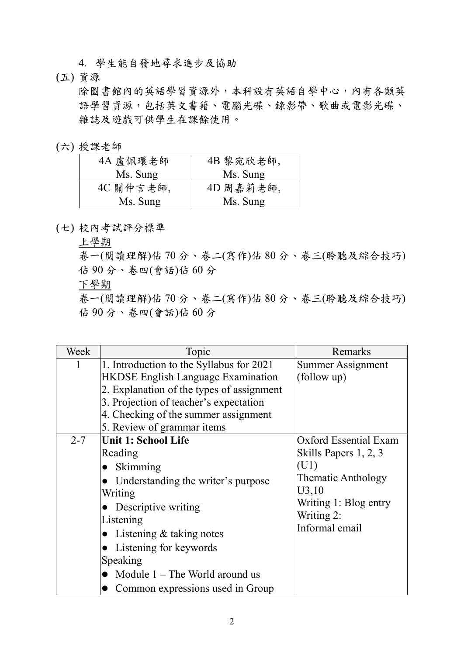4. 學生能自發地尋求進步及協助

(五) 資源

除圖書館內的英語學習資源外,本科設有英語自學中心,內有各類英 語學習資源,包括英文書籍、電腦光碟、錄影帶、歌曲或電影光碟、 雜誌及遊戲可供學生在課餘使用。

(六) 授課老師

| 4A 盧佩環老師  | 4B 黎宛欣老師, |
|-----------|-----------|
| Ms. Sung  | Ms. Sung  |
| 4C 關仲言老師, | 4D 周嘉莉老師, |
| Ms. Sung  | Ms. Sung  |

(七) 校內考試評分標準

上學期

卷一(閱讀理解)佔 70 分、卷二(寫作)佔 80 分、卷三(聆聽及綜合技巧) 佔 90 分、卷四(會話)佔 60 分

下學期

卷一(閱讀理解)佔 70 分、卷二(寫作)佔 80 分、卷三(聆聽及綜合技巧) 佔 90 分、卷四(會話)佔 60 分

| Week    | Topic                                     | Remarks               |
|---------|-------------------------------------------|-----------------------|
| 1       | 1. Introduction to the Syllabus for 2021  | Summer Assignment     |
|         | <b>HKDSE</b> English Language Examination | (follow up)           |
|         | 2. Explanation of the types of assignment |                       |
|         | 3. Projection of teacher's expectation    |                       |
|         | 4. Checking of the summer assignment      |                       |
|         | 5. Review of grammar items                |                       |
| $2 - 7$ | <b>Unit 1: School Life</b>                | Oxford Essential Exam |
|         | Reading                                   | Skills Papers 1, 2, 3 |
|         | Skimming<br>$\bullet$                     | (U1)                  |
|         | Understanding the writer's purpose        | Thematic Anthology    |
|         | Writing                                   | U3,10                 |
|         | • Descriptive writing                     | Writing 1: Blog entry |
|         | Listening                                 | Writing 2:            |
|         | Listening & taking notes                  | Informal email        |
|         | Listening for keywords                    |                       |
|         | Speaking                                  |                       |
|         | Module $1$ – The World around us          |                       |
|         | Common expressions used in Group          |                       |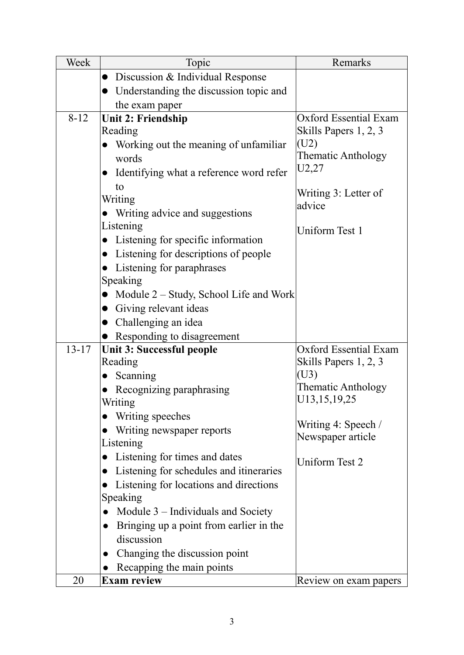| Week      | Topic                                                | Remarks                        |
|-----------|------------------------------------------------------|--------------------------------|
|           | Discussion & Individual Response<br>$\bullet$        |                                |
|           | Understanding the discussion topic and<br>$\bullet$  |                                |
|           | the exam paper                                       |                                |
| $8 - 12$  | <b>Unit 2: Friendship</b>                            | <b>Oxford Essential Exam</b>   |
|           | Reading                                              | Skills Papers 1, 2, 3          |
|           | Working out the meaning of unfamiliar                | (U2)                           |
|           | words                                                | <b>Thematic Anthology</b>      |
|           | Identifying what a reference word refer              | U2,27                          |
|           | to                                                   |                                |
|           | Writing                                              | Writing 3: Letter of<br>advice |
|           | Writing advice and suggestions                       |                                |
|           | Listening                                            | Uniform Test 1                 |
|           | Listening for specific information<br>$\bullet$      |                                |
|           | Listening for descriptions of people<br>$\bullet$    |                                |
|           | Listening for paraphrases                            |                                |
|           | Speaking                                             |                                |
|           | Module 2 – Study, School Life and Work               |                                |
|           | Giving relevant ideas<br>$\bullet$                   |                                |
|           | Challenging an idea                                  |                                |
|           | Responding to disagreement                           |                                |
| $13 - 17$ | <b>Unit 3: Successful people</b>                     | <b>Oxford Essential Exam</b>   |
|           | Reading                                              | Skills Papers 1, 2, 3          |
|           | Scanning<br>$\bullet$                                | (U3)                           |
|           | Recognizing paraphrasing                             | <b>Thematic Anthology</b>      |
|           | Writing                                              | U13, 15, 19, 25                |
|           | Writing speeches<br>$\bullet$                        | Writing 4: Speech /            |
|           | Writing newspaper reports                            | Newspaper article              |
|           | Listening                                            |                                |
|           | Listening for times and dates<br>$\bullet$           | Uniform Test 2                 |
|           | Listening for schedules and itineraries<br>$\bullet$ |                                |
|           | Listening for locations and directions               |                                |
|           | Speaking                                             |                                |
|           | Module $3$ – Individuals and Society                 |                                |
|           | Bringing up a point from earlier in the              |                                |
|           | discussion                                           |                                |
|           | Changing the discussion point                        |                                |
|           | Recapping the main points                            |                                |
| 20        | <b>Exam review</b>                                   | Review on exam papers          |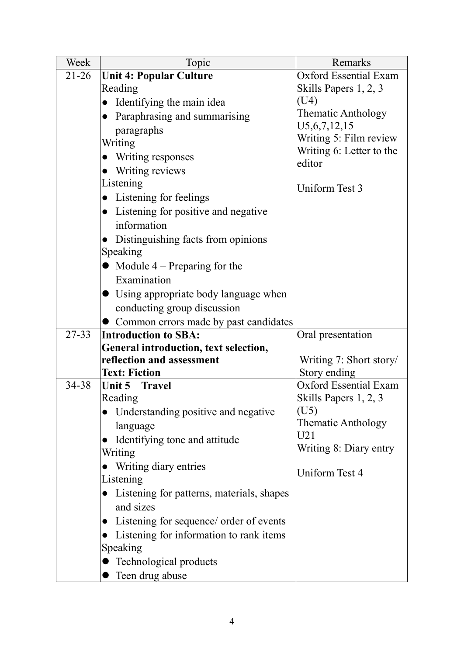| Week      | Topic                                                               | Remarks                            |
|-----------|---------------------------------------------------------------------|------------------------------------|
| $21 - 26$ | <b>Unit 4: Popular Culture</b>                                      | <b>Oxford Essential Exam</b>       |
|           | Reading                                                             | Skills Papers 1, 2, 3              |
|           | Identifying the main idea<br>$\bullet$                              | (U4)                               |
|           | Paraphrasing and summarising<br>$\bullet$                           | Thematic Anthology                 |
|           | paragraphs                                                          | U5, 6, 7, 12, 15                   |
|           | Writing                                                             | Writing 5: Film review             |
|           | Writing responses<br>$\bullet$                                      | Writing 6: Letter to the<br>editor |
|           | Writing reviews                                                     |                                    |
|           | Listening                                                           | Uniform Test 3                     |
|           | Listening for feelings<br>$\bullet$                                 |                                    |
|           | Listening for positive and negative<br>$\bullet$                    |                                    |
|           | information                                                         |                                    |
|           | Distinguishing facts from opinions                                  |                                    |
|           | Speaking                                                            |                                    |
|           | • Module $4$ – Preparing for the                                    |                                    |
|           | Examination                                                         |                                    |
|           | • Using appropriate body language when                              |                                    |
|           | conducting group discussion                                         |                                    |
|           | Common errors made by past candidates                               |                                    |
| $27 - 33$ | <b>Introduction to SBA:</b>                                         | Oral presentation                  |
|           | General introduction, text selection,                               |                                    |
|           | reflection and assessment                                           | Writing 7: Short story/            |
|           | <b>Text: Fiction</b>                                                | Story ending                       |
| 34-38     | Unit 5 Travel                                                       | <b>Oxford Essential Exam</b>       |
|           | Reading                                                             | Skills Papers 1, 2, 3              |
|           | Understanding positive and negative                                 | (U5)<br>Thematic Anthology         |
|           | language                                                            | U21                                |
|           | Identifying tone and attitude                                       | Writing 8: Diary entry             |
|           | Writing                                                             |                                    |
|           | Writing diary entries                                               | Uniform Test 4                     |
|           | Listening                                                           |                                    |
|           | Listening for patterns, materials, shapes<br>$\bullet$<br>and sizes |                                    |
|           |                                                                     |                                    |
|           | Listening for sequence/ order of events<br>$\bullet$                |                                    |
|           | Listening for information to rank items                             |                                    |
|           | Speaking                                                            |                                    |
|           | Technological products                                              |                                    |
|           | Teen drug abuse                                                     |                                    |